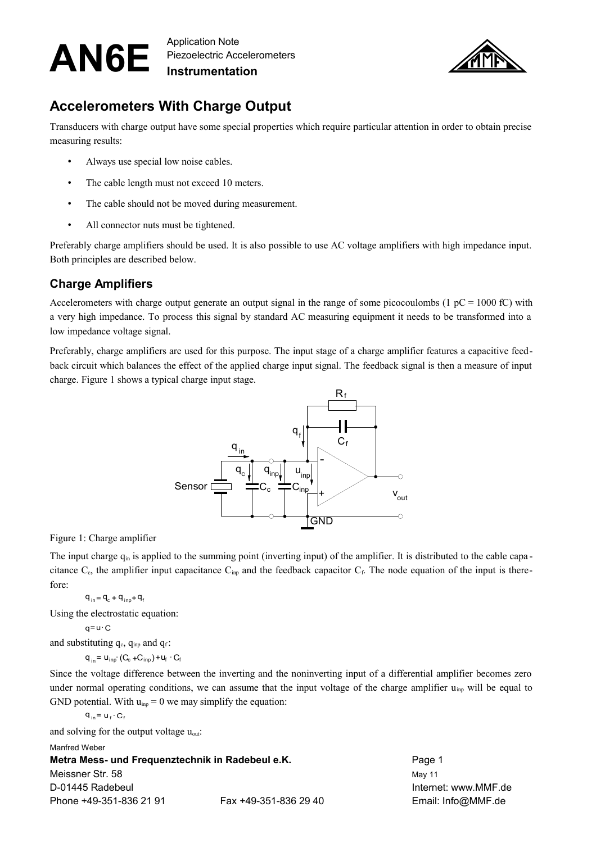Piezoelectric Accelerometers **Instrumentation**



## **Accelerometers With Charge Output**

Transducers with charge output have some special properties which require particular attention in order to obtain precise measuring results:

- Always use special low noise cables.
- The cable length must not exceed 10 meters.
- The cable should not be moved during measurement.
- All connector nuts must be tightened.

Preferably charge amplifiers should be used. It is also possible to use AC voltage amplifiers with high impedance input. Both principles are described below.

### **Charge Amplifiers**

Accelerometers with charge output generate an output signal in the range of some picocoulombs (1 pC = 1000 fC) with a very high impedance. To process this signal by standard AC measuring equipment it needs to be transformed into a low impedance voltage signal.

Preferably, charge amplifiers are used for this purpose. The input stage of a charge amplifier features a capacitive feedback circuit which balances the effect of the applied charge input signal. The feedback signal is then a measure of input charge. [Figure 1](#page-0-0) shows a typical charge input stage.



<span id="page-0-0"></span>Figure 1: Charge amplifier

The input charge  $q_{in}$  is applied to the summing point (inverting input) of the amplifier. It is distributed to the cable capacitance  $C_c$ , the amplifier input capacitance  $C_{imp}$  and the feedback capacitor  $C_f$ . The node equation of the input is therefore:

 $q_{in} = q_c + q_{inp} + q_f$ 

Using the electrostatic equation:

$$
q = u \cdot C
$$

and substituting  $q_c$ ,  $q_{im}$  and  $q_f$ :

 $q_{in} = u_{inp} (C_c + C_{inp}) + u_f \cdot C_f$ 

Since the voltage difference between the inverting and the noninverting input of a differential amplifier becomes zero under normal operating conditions, we can assume that the input voltage of the charge amplifier  $u_{\text{inp}}$  will be equal to GND potential. With  $u_{\text{inp}} = 0$  we may simplify the equation:

$$
q_{in} = u_f \cdot C_f
$$

and solving for the output voltage uout:

#### Manfred Weber

**Metra Mess- und Frequenztechnik in Radebeul e.K.** Page 1 Meissner Str. 58 May 11 November 2012 12:00 May 11 D-01445 Radebeul Internet: www.MMF.de Phone +49-351-836 21 91 Fax +49-351-836 29 40 Email: Info@MMF.de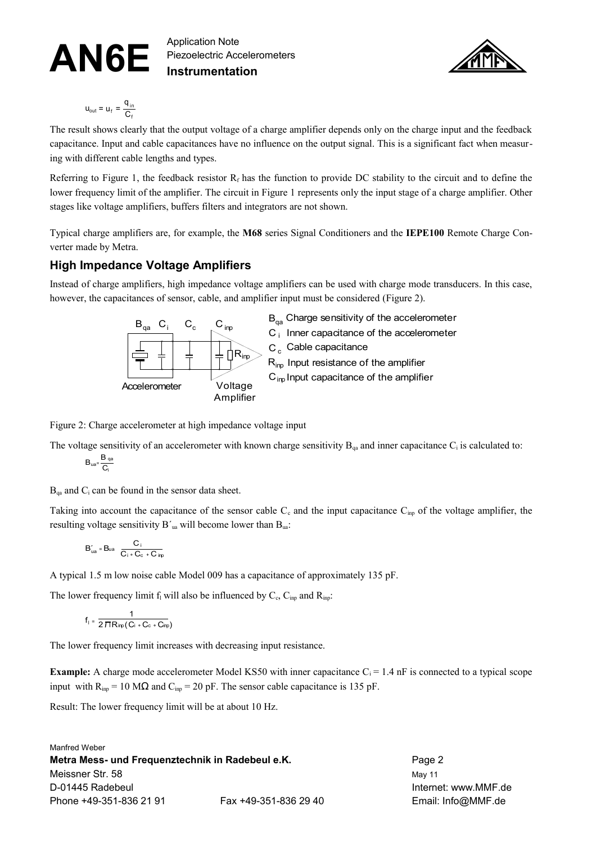Piezoelectric Accelerometers **Instrumentation**



$$
u_{\text{out}} = u_{\text{f}} = \frac{q_{\text{in}}}{C_{\text{f}}}
$$

The result shows clearly that the output voltage of a charge amplifier depends only on the charge input and the feedback capacitance. Input and cable capacitances have no influence on the output signal. This is a significant fact when measuring with different cable lengths and types.

Referring to [Figure 1,](#page-0-0) the feedback resistor  $R_f$  has the function to provide DC stability to the circuit and to define the lower frequency limit of the amplifier. The circuit in [Figure 1](#page-0-0) represents only the input stage of a charge amplifier. Other stages like voltage amplifiers, buffers filters and integrators are not shown.

Typical charge amplifiers are, for example, the **M68** series Signal Conditioners and the **IEPE100** Remote Charge Converter made by Metra.

### **High Impedance Voltage Amplifiers**

Instead of charge amplifiers, high impedance voltage amplifiers can be used with charge mode transducers. In this case, however, the capacitances of sensor, cable, and amplifier input must be considered [\(Figure 2\)](#page-1-0).



 $C_i$  Inner capacitance of the accelerometer  $R_{\text{ino}}$   $\geq$   $C_c$  Cable capacitance C<sub>inp</sub> Input capacitance of the amplifier  $R_{\text{inp}}$  Input resistance of the amplifier B<sub>aa</sub> Charge sensitivity of the accelerometer

<span id="page-1-0"></span>Figure 2: Charge accelerometer at high impedance voltage input

The voltage sensitivity of an accelerometer with known charge sensitivity  $B_{\alpha a}$  and inner capacitance  $C_i$  is calculated to:  $B_{\text{ua}} = \frac{B}{2}$  $\frac{B_{qa}}{C_i}$ 

 $B_{qa}$  and  $C_i$  can be found in the sensor data sheet.

Taking into account the capacitance of the sensor cable  $C_c$  and the input capacitance  $C_{\text{imp}}$  of the voltage amplifier, the resulting voltage sensitivity  $B'_{ua}$  will become lower than  $B_{ua}$ :

$$
B'_{ua} \equiv Bua - \frac{C_i}{C_i + C_c + C_{inp}}
$$

A typical 1.5 m low noise cable Model 009 has a capacitance of approximately 135 pF.

The lower frequency limit  $f_1$  will also be influenced by  $C_c$ ,  $C_{inp}$  and  $R_{inp}$ :

$$
f_{\parallel}=\frac{1}{2\,\Pi\,R_{inp}\big(C_i+C_c+C_{inp}\big)}
$$

The lower frequency limit increases with decreasing input resistance.

**Example:** A charge mode accelerometer Model KS50 with inner capacitance  $C_i = 1.4$  nF is connected to a typical scope input with  $R_{\text{inp}} = 10 \text{ M}\Omega$  and  $C_{\text{inp}} = 20 \text{ pF}$ . The sensor cable capacitance is 135 pF.

Result: The lower frequency limit will be at about 10 Hz.

Manfred Weber **Metra Mess- und Frequenztechnik in Radebeul e.K.** Page 2 Meissner Str. 58 May 11 November 2012 12:00 May 11 D-01445 Radebeul Internet: www.MMF.de Phone +49-351-836 21 91 Fax +49-351-836 29 40 Email: Info@MMF.de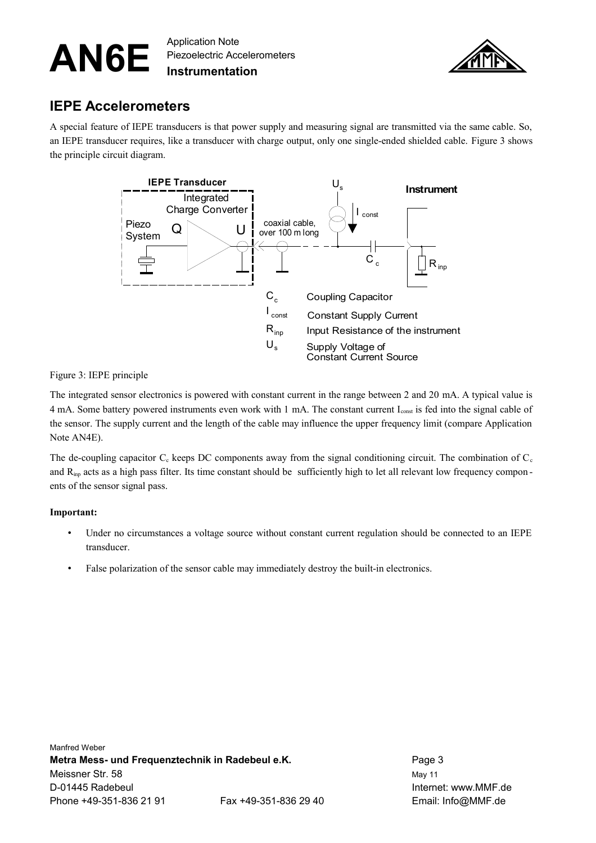Piezoelectric Accelerometers **Instrumentation**



### **IEPE Accelerometers**

A special feature of IEPE transducers is that power supply and measuring signal are transmitted via the same cable. So, an IEPE transducer requires, like a transducer with charge output, only one single-ended shielded cable. [Figure 3](#page-2-0) shows the principle circuit diagram.



<span id="page-2-0"></span>Figure 3: IEPE principle

The integrated sensor electronics is powered with constant current in the range between 2 and 20 mA. A typical value is 4 mA. Some battery powered instruments even work with 1 mA. The constant current Iconst is fed into the signal cable of the sensor. The supply current and the length of the cable may influence the upper frequency limit (compare Application Note AN4E).

The de-coupling capacitor  $C_c$  keeps DC components away from the signal conditioning circuit. The combination of  $C_c$ and  $R_{\text{imp}}$  acts as a high pass filter. Its time constant should be sufficiently high to let all relevant low frequency components of the sensor signal pass.

#### **Important:**

- Under no circumstances a voltage source without constant current regulation should be connected to an IEPE transducer.
- False polarization of the sensor cable may immediately destroy the built-in electronics.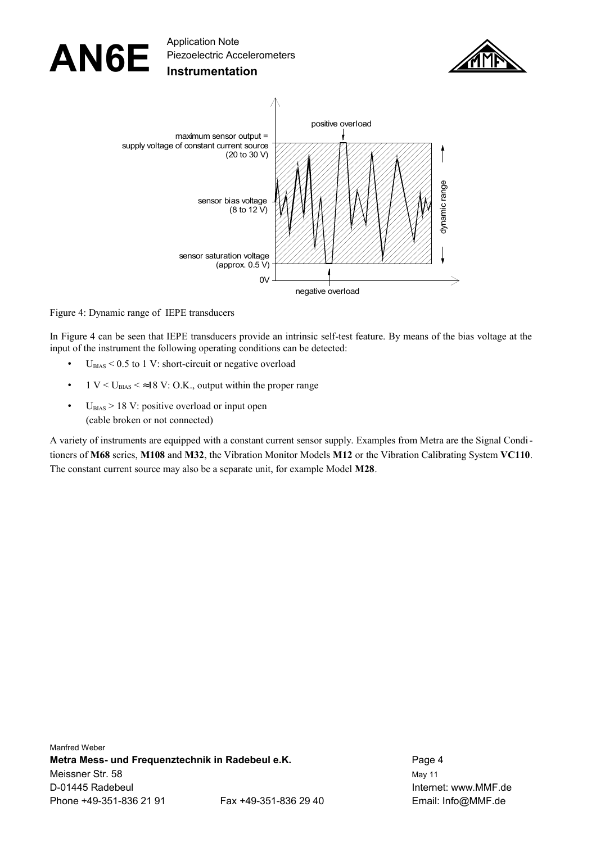

<span id="page-3-0"></span>Figure 4: Dynamic range of IEPE transducers

In [Figure 4](#page-3-0) can be seen that IEPE transducers provide an intrinsic self-test feature. By means of the bias voltage at the input of the instrument the following operating conditions can be detected:

- $U_{BIAS}$  < 0.5 to 1 V: short-circuit or negative overload
- 1 V <  $U_{\text{BIAS}}$  <  $\approx$  18 V: O.K., output within the proper range
- $U_{BIAS}$  > 18 V: positive overload or input open (cable broken or not connected)

A variety of instruments are equipped with a constant current sensor supply. Examples from Metra are the Signal Conditioners of **M68** series, **M108** and **M32**, the Vibration Monitor Models **M12** or the Vibration Calibrating System **VC110**. The constant current source may also be a separate unit, for example Model **M28**.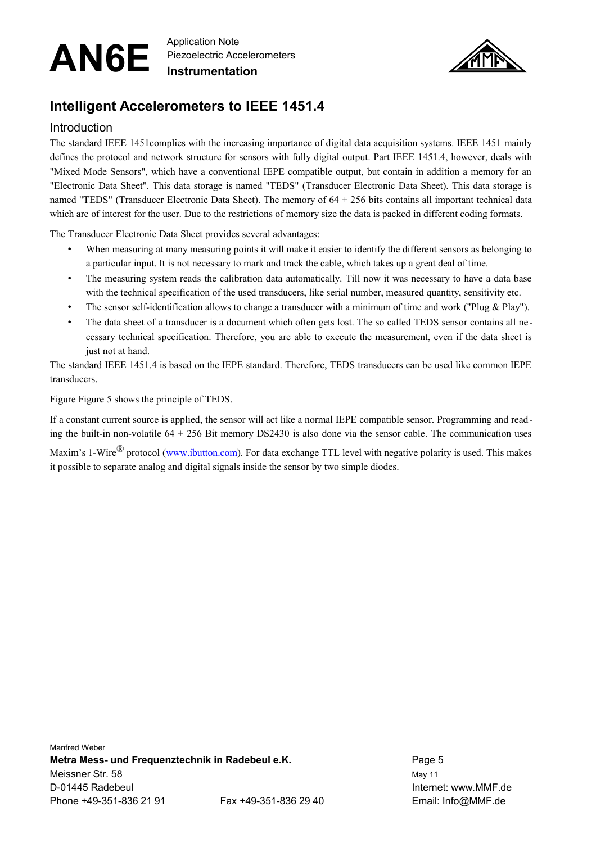Piezoelectric Accelerometers **Instrumentation**



## **Intelligent Accelerometers to IEEE 1451.4**

#### Introduction

The standard IEEE 1451complies with the increasing importance of digital data acquisition systems. IEEE 1451 mainly defines the protocol and network structure for sensors with fully digital output. Part IEEE 1451.4, however, deals with "Mixed Mode Sensors", which have a conventional IEPE compatible output, but contain in addition a memory for an "Electronic Data Sheet". This data storage is named "TEDS" (Transducer Electronic Data Sheet). This data storage is named "TEDS" (Transducer Electronic Data Sheet). The memory of 64 + 256 bits contains all important technical data which are of interest for the user. Due to the restrictions of memory size the data is packed in different coding formats.

The Transducer Electronic Data Sheet provides several advantages:

- When measuring at many measuring points it will make it easier to identify the different sensors as belonging to a particular input. It is not necessary to mark and track the cable, which takes up a great deal of time.
- The measuring system reads the calibration data automatically. Till now it was necessary to have a data base with the technical specification of the used transducers, like serial number, measured quantity, sensitivity etc.
- The sensor self-identification allows to change a transducer with a minimum of time and work ("Plug & Play").
- The data sheet of a transducer is a document which often gets lost. The so called TEDS sensor contains all necessary technical specification. Therefore, you are able to execute the measurement, even if the data sheet is just not at hand.

The standard IEEE 1451.4 is based on the IEPE standard. Therefore, TEDS transducers can be used like common IEPE transducers.

Figure Figure 5 shows the principle of TEDS.

If a constant current source is applied, the sensor will act like a normal IEPE compatible sensor. Programming and reading the built-in non-volatile  $64 + 256$  Bit memory DS2430 is also done via the sensor cable. The communication uses Maxim's 1-Wire<sup>®</sup> protocol [\(www.ibutton.com\)](http://www.maxim-ic.com/products/ibutton/). For data exchange TTL level with negative polarity is used. This makes it possible to separate analog and digital signals inside the sensor by two simple diodes.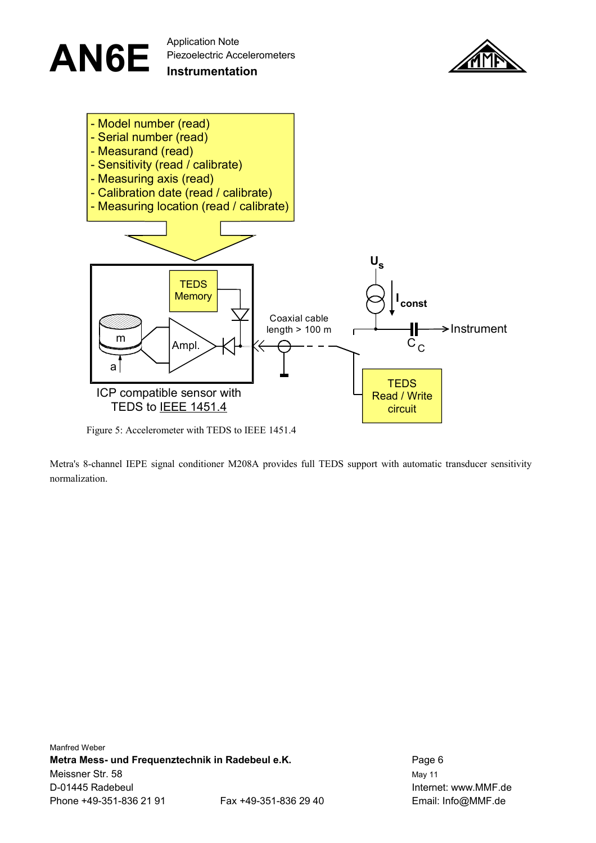

Figure 5: Accelerometer with TEDS to IEEE 1451.4

Metra's 8-channel IEPE signal conditioner M208A provides full TEDS support with automatic transducer sensitivity normalization.